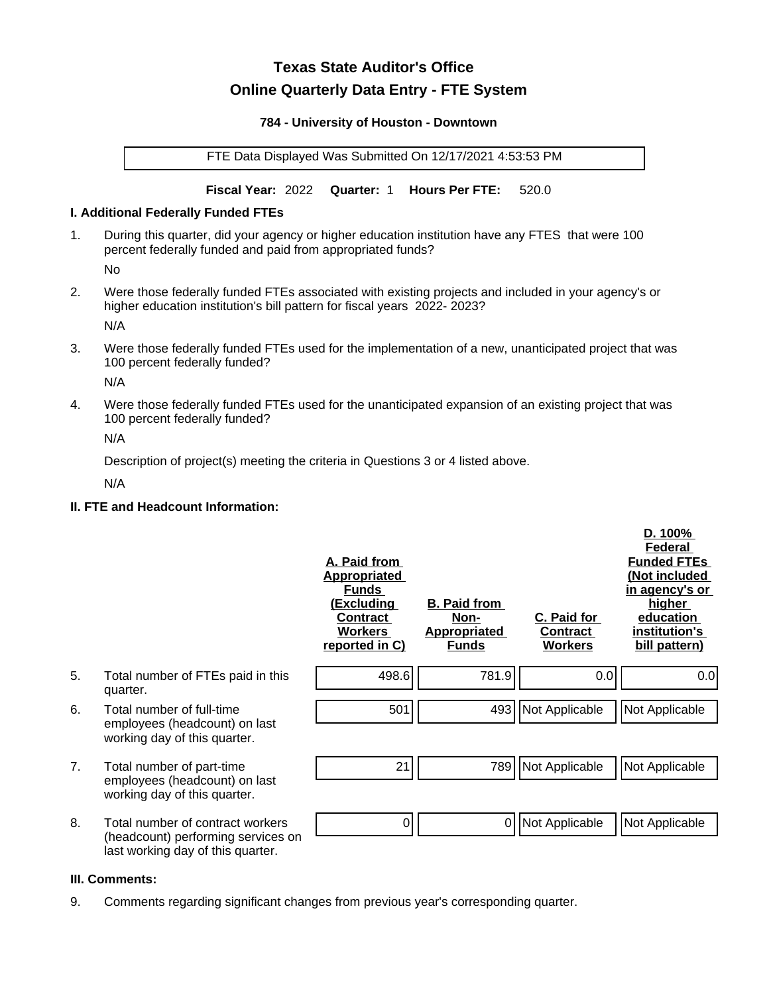# **Texas State Auditor's Office Online Quarterly Data Entry - FTE System**

#### **784 - University of Houston - Downtown**

FTE Data Displayed Was Submitted On 12/17/2021 4:53:53 PM

**Fiscal Year:** 2022 **Quarter:** 1 **Hours Per FTE:** 520.0

#### **I. Additional Federally Funded FTEs**

1. During this quarter, did your agency or higher education institution have any FTES that were 100 percent federally funded and paid from appropriated funds?

No

2. Were those federally funded FTEs associated with existing projects and included in your agency's or higher education institution's bill pattern for fiscal years 2022- 2023?

N/A

3. Were those federally funded FTEs used for the implementation of a new, unanticipated project that was 100 percent federally funded?

N/A

4. Were those federally funded FTEs used for the unanticipated expansion of an existing project that was 100 percent federally funded?

N/A

Description of project(s) meeting the criteria in Questions 3 or 4 listed above.

N/A

## **II. FTE and Headcount Information:**

|    |                                                                                                             | A. Paid from<br><u>Appropriated</u><br><b>Funds</b><br><u>(Excluding</u><br><b>Contract</b><br><b>Workers</b><br>reported in C) | <b>B. Paid from</b><br>Non-<br><b>Appropriated</b><br><b>Funds</b> | C. Paid for<br>Contract<br><b>Workers</b> | D. 100%<br>Federal<br><b>Funded FTEs</b><br>(Not included<br>in agency's or<br>higher<br>education<br>institution's<br>bill pattern) |
|----|-------------------------------------------------------------------------------------------------------------|---------------------------------------------------------------------------------------------------------------------------------|--------------------------------------------------------------------|-------------------------------------------|--------------------------------------------------------------------------------------------------------------------------------------|
| 5. | Total number of FTEs paid in this<br>quarter.                                                               | 498.6                                                                                                                           | 781.9                                                              | 0.0                                       | 0.0                                                                                                                                  |
| 6. | Total number of full-time<br>employees (headcount) on last<br>working day of this quarter.                  | 501                                                                                                                             |                                                                    | 493 Not Applicable                        | Not Applicable                                                                                                                       |
| 7. | Total number of part-time<br>employees (headcount) on last<br>working day of this quarter.                  | 21                                                                                                                              | 789                                                                | Not Applicable                            | Not Applicable                                                                                                                       |
| 8. | Total number of contract workers<br>(headcount) performing services on<br>last working day of this quarter. | 0                                                                                                                               | 0                                                                  | Not Applicable                            | Not Applicable                                                                                                                       |

# **III. Comments:**

9. Comments regarding significant changes from previous year's corresponding quarter.